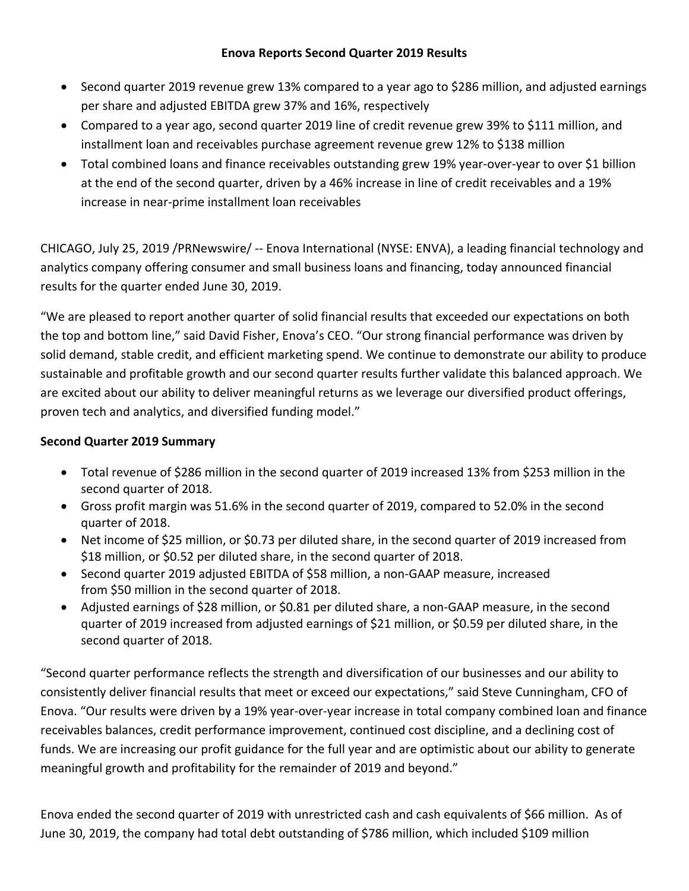- Second quarter 2019 revenue grew 13% compared to a year ago to \$286 million, and adjusted earnings per share and adjusted EBITDA grew 37% and 16%, respectively
- Compared to a year ago, second quarter 2019 line of credit revenue grew 39% to \$111 million, and installment loan and receivables purchase agreement revenue grew 12% to \$138 million
- Total combined loans and finance receivables outstanding grew 19% year-over-year to over \$1 billion at the end of the second quarter, driven by a 46% increase in line of credit receivables and a 19% increase in near-prime installment loan receivables

CHICAGO, July 25, 2019 [/PRNewswire/](http://www.prnewswire.com/) -- Enova International (NYSE: ENVA), a leading financial technology and analytics company offering consumer and small business loans and financing, today announced financial results for the quarter ended June 30, 2019.

"We are pleased to report another quarter of solid financial results that exceeded our expectations on both the top and bottom line," said David Fisher, Enova's CEO. "Our strong financial performance was driven by solid demand, stable credit, and efficient marketing spend. We continue to demonstrate our ability to produce sustainable and profitable growth and our second quarter results further validate this balanced approach. We are excited about our ability to deliver meaningful returns as we leverage our diversified product offerings, proven tech and analytics, and diversified funding model."

# **Second Quarter 2019 Summary**

- Total revenue of \$286 million in the second quarter of 2019 increased 13% from \$253 million in the second quarter of 2018.
- Gross profit margin was 51.6% in the second quarter of 2019, compared to 52.0% in the second quarter of 2018.
- Net income of \$25 million, or \$0.73 per diluted share, in the second quarter of 2019 increased from \$18 million, or \$0.52 per diluted share, in the second quarter of 2018.
- Second quarter 2019 adjusted EBITDA of \$58 million, a non-GAAP measure, increased from \$50 million in the second quarter of 2018.
- Adjusted earnings of \$28 million, or \$0.81 per diluted share, a non-GAAP measure, in the second quarter of 2019 increased from adjusted earnings of \$21 million, or \$0.59 per diluted share, in the second quarter of 2018.

"Second quarter performance reflects the strength and diversification of our businesses and our ability to consistently deliver financial results that meet or exceed our expectations," said Steve Cunningham, CFO of Enova. "Our results were driven by a 19% year-over-year increase in total company combined loan and finance receivables balances, credit performance improvement, continued cost discipline, and a declining cost of funds. We are increasing our profit guidance for the full year and are optimistic about our ability to generate meaningful growth and profitability for the remainder of 2019 and beyond."

Enova ended the second quarter of 2019 with unrestricted cash and cash equivalents of \$66 million. As of June 30, 2019, the company had total debt outstanding of \$786 million, which included \$109 million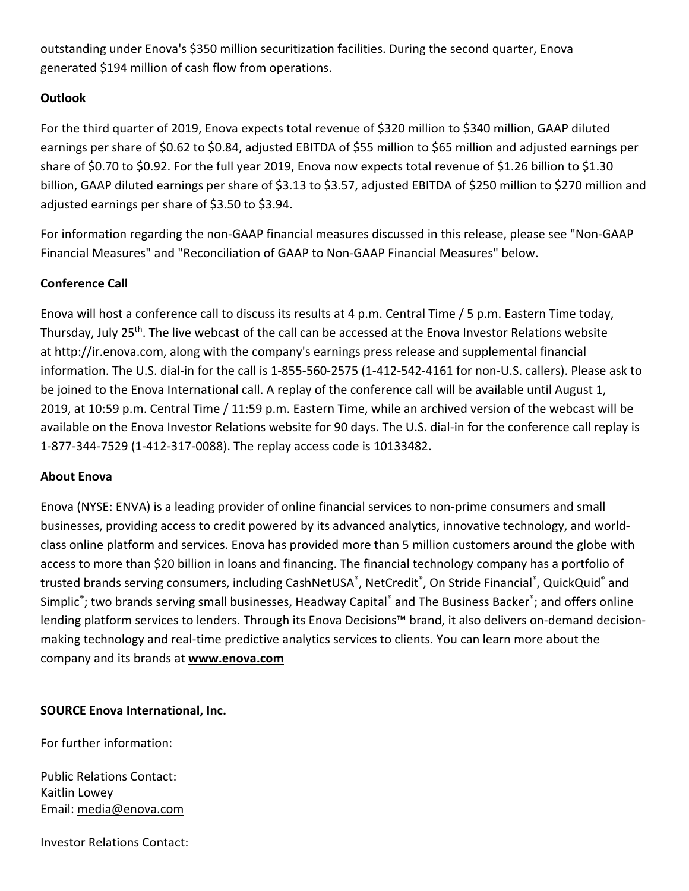outstanding under Enova's \$350 million securitization facilities. During the second quarter, Enova generated \$194 million of cash flow from operations.

# **Outlook**

For the third quarter of 2019, Enova expects total revenue of \$320 million to \$340 million, GAAP diluted earnings per share of \$0.62 to \$0.84, adjusted EBITDA of \$55 million to \$65 million and adjusted earnings per share of \$0.70 to \$0.92. For the full year 2019, Enova now expects total revenue of \$1.26 billion to \$1.30 billion, GAAP diluted earnings per share of \$3.13 to \$3.57, adjusted EBITDA of \$250 million to \$270 million and adjusted earnings per share of \$3.50 to \$3.94.

For information regarding the non-GAAP financial measures discussed in this release, please see "Non-GAAP Financial Measures" and "Reconciliation of GAAP to Non-GAAP Financial Measures" below.

# **Conference Call**

Enova will host a conference call to discuss its results at 4 p.m. Central Time / 5 p.m. Eastern Time today, Thursday, July 25<sup>th</sup>. The live webcast of the call can be accessed at the Enova Investor Relations website at [http://ir.enova.com,](http://ir.enova.com/) along with the company's earnings press release and supplemental financial information. The U.S. dial-in for the call is 1-855-560-2575 (1-412-542-4161 for non-U.S. callers). Please ask to be joined to the Enova International call. A replay of the conference call will be available until August 1, 2019, at 10:59 p.m. Central Time / 11:59 p.m. Eastern Time, while an archived version of the webcast will be available on the Enova Investor Relations website for 90 days. The U.S. dial-in for the conference call replay is 1-877-344-7529 (1-412-317-0088). The replay access code is 10133482.

# **About Enova**

Enova (NYSE: ENVA) is a leading provider of online financial services to non-prime consumers and small businesses, providing access to credit powered by its advanced analytics, innovative technology, and worldclass online platform and services. Enova has provided more than 5 million customers around the globe with access to more than \$20 billion in loans and financing. The financial technology company has a portfolio of trusted brands serving consumers, including CashNetUSA®, NetCredit®, On Stride Financial®, QuickQuid® and Simplic<sup>®</sup>; two brands serving small businesses, Headway Capital<sup>®</sup> and The Business Backer<sup>®</sup>; and offers online lending platform services to lenders. Through its Enova Decisions™ brand, it also delivers on-demand decisionmaking technology and real-time predictive analytics services to clients. You can learn more about the company and its brands at **[www.enova.com](http://www.enova.com/)**

**SOURCE Enova International, Inc.**

For further information:

Public Relations Contact: Kaitlin Lowey Email: [media@enova.com](mailto:media@enova.com)

Investor Relations Contact: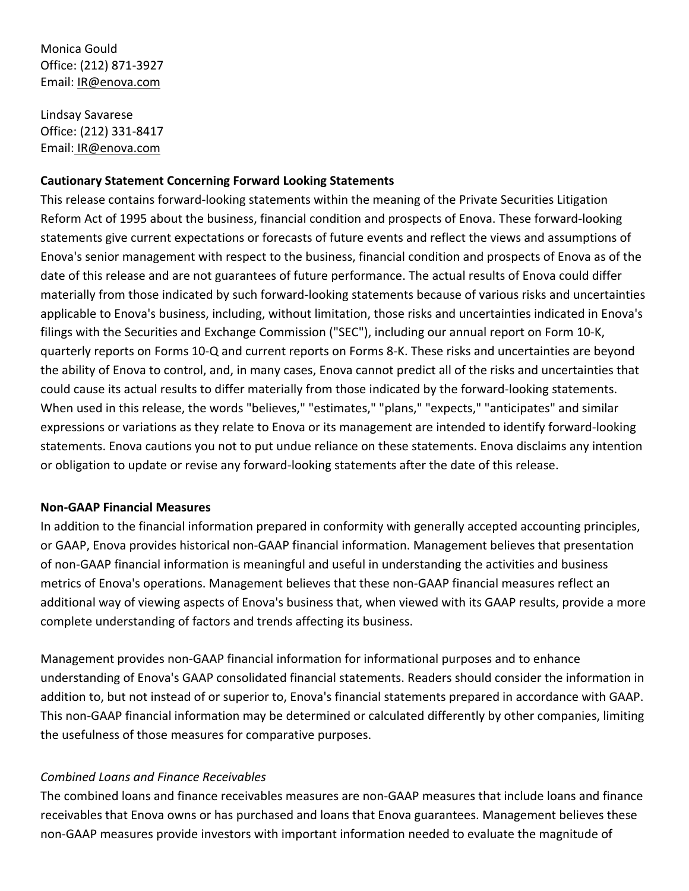Monica Gould Office: (212) 871-3927 Email: [IR@enova.com](mailto:IR@enova.com)

Lindsay Savarese Office: (212) 331-8417 Email: IR@enova.com

## **Cautionary Statement Concerning Forward Looking Statements**

This release contains forward-looking statements within the meaning of the Private Securities Litigation Reform Act of 1995 about the business, financial condition and prospects of Enova. These forward-looking statements give current expectations or forecasts of future events and reflect the views and assumptions of Enova's senior management with respect to the business, financial condition and prospects of Enova as of the date of this release and are not guarantees of future performance. The actual results of Enova could differ materially from those indicated by such forward-looking statements because of various risks and uncertainties applicable to Enova's business, including, without limitation, those risks and uncertainties indicated in Enova's filings with the Securities and Exchange Commission ("SEC"), including our annual report on Form 10-K, quarterly reports on Forms 10-Q and current reports on Forms 8-K. These risks and uncertainties are beyond the ability of Enova to control, and, in many cases, Enova cannot predict all of the risks and uncertainties that could cause its actual results to differ materially from those indicated by the forward-looking statements. When used in this release, the words "believes," "estimates," "plans," "expects," "anticipates" and similar expressions or variations as they relate to Enova or its management are intended to identify forward-looking statements. Enova cautions you not to put undue reliance on these statements. Enova disclaims any intention or obligation to update or revise any forward-looking statements after the date of this release.

## **Non-GAAP Financial Measures**

In addition to the financial information prepared in conformity with generally accepted accounting principles, or GAAP, Enova provides historical non-GAAP financial information. Management believes that presentation of non-GAAP financial information is meaningful and useful in understanding the activities and business metrics of Enova's operations. Management believes that these non-GAAP financial measures reflect an additional way of viewing aspects of Enova's business that, when viewed with its GAAP results, provide a more complete understanding of factors and trends affecting its business.

Management provides non-GAAP financial information for informational purposes and to enhance understanding of Enova's GAAP consolidated financial statements. Readers should consider the information in addition to, but not instead of or superior to, Enova's financial statements prepared in accordance with GAAP. This non-GAAP financial information may be determined or calculated differently by other companies, limiting the usefulness of those measures for comparative purposes.

## *Combined Loans and Finance Receivables*

The combined loans and finance receivables measures are non-GAAP measures that include loans and finance receivables that Enova owns or has purchased and loans that Enova guarantees. Management believes these non-GAAP measures provide investors with important information needed to evaluate the magnitude of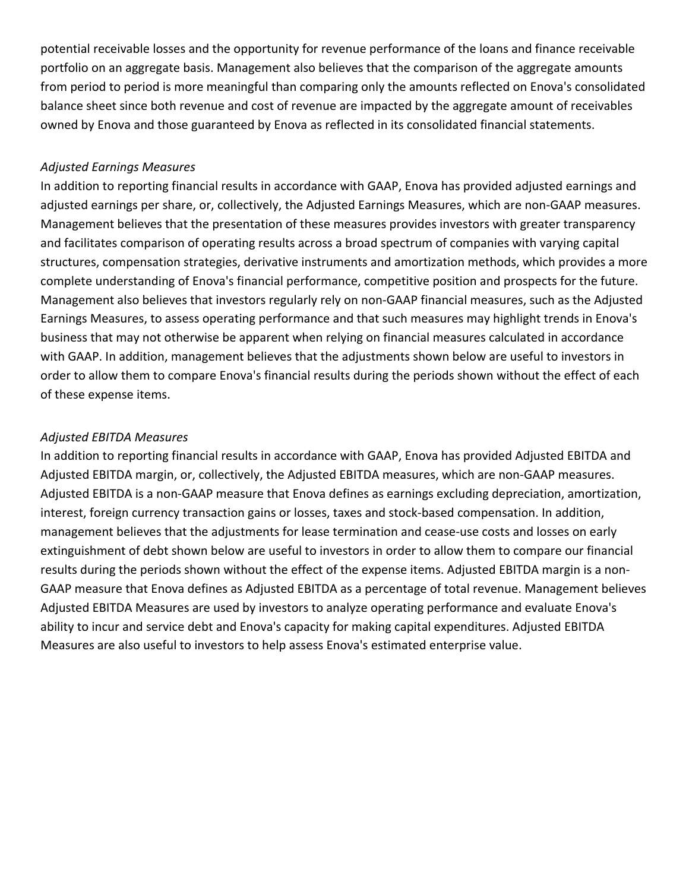potential receivable losses and the opportunity for revenue performance of the loans and finance receivable portfolio on an aggregate basis. Management also believes that the comparison of the aggregate amounts from period to period is more meaningful than comparing only the amounts reflected on Enova's consolidated balance sheet since both revenue and cost of revenue are impacted by the aggregate amount of receivables owned by Enova and those guaranteed by Enova as reflected in its consolidated financial statements.

## *Adjusted Earnings Measures*

In addition to reporting financial results in accordance with GAAP, Enova has provided adjusted earnings and adjusted earnings per share, or, collectively, the Adjusted Earnings Measures, which are non-GAAP measures. Management believes that the presentation of these measures provides investors with greater transparency and facilitates comparison of operating results across a broad spectrum of companies with varying capital structures, compensation strategies, derivative instruments and amortization methods, which provides a more complete understanding of Enova's financial performance, competitive position and prospects for the future. Management also believes that investors regularly rely on non-GAAP financial measures, such as the Adjusted Earnings Measures, to assess operating performance and that such measures may highlight trends in Enova's business that may not otherwise be apparent when relying on financial measures calculated in accordance with GAAP. In addition, management believes that the adjustments shown below are useful to investors in order to allow them to compare Enova's financial results during the periods shown without the effect of each of these expense items.

### *Adjusted EBITDA Measures*

In addition to reporting financial results in accordance with GAAP, Enova has provided Adjusted EBITDA and Adjusted EBITDA margin, or, collectively, the Adjusted EBITDA measures, which are non-GAAP measures. Adjusted EBITDA is a non-GAAP measure that Enova defines as earnings excluding depreciation, amortization, interest, foreign currency transaction gains or losses, taxes and stock-based compensation. In addition, management believes that the adjustments for lease termination and cease-use costs and losses on early extinguishment of debt shown below are useful to investors in order to allow them to compare our financial results during the periods shown without the effect of the expense items. Adjusted EBITDA margin is a non-GAAP measure that Enova defines as Adjusted EBITDA as a percentage of total revenue. Management believes Adjusted EBITDA Measures are used by investors to analyze operating performance and evaluate Enova's ability to incur and service debt and Enova's capacity for making capital expenditures. Adjusted EBITDA Measures are also useful to investors to help assess Enova's estimated enterprise value.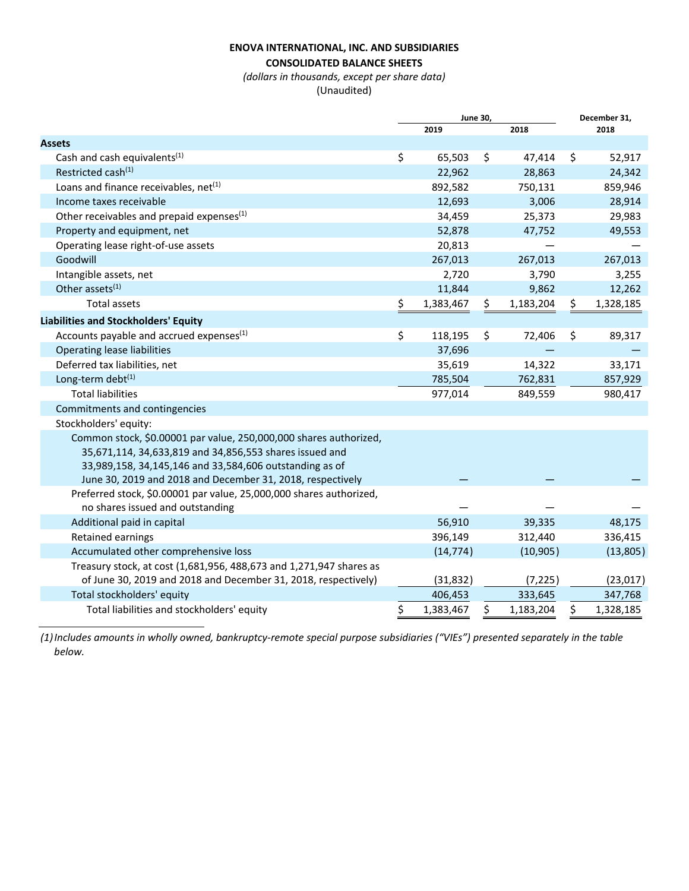#### **ENOVA INTERNATIONAL, INC. AND SUBSIDIARIES**

### **CONSOLIDATED BALANCE SHEETS**

*(dollars in thousands, except per share data)* 

(Unaudited)

|                                                                                                                                                                                                                                                       | <b>June 30,</b> | December 31, |           |    |           |
|-------------------------------------------------------------------------------------------------------------------------------------------------------------------------------------------------------------------------------------------------------|-----------------|--------------|-----------|----|-----------|
|                                                                                                                                                                                                                                                       | 2019            |              | 2018      |    | 2018      |
| <b>Assets</b>                                                                                                                                                                                                                                         |                 |              |           |    |           |
| Cash and cash equivalents <sup>(1)</sup>                                                                                                                                                                                                              | \$<br>65,503    | \$           | 47,414    | \$ | 52,917    |
| Restricted cash <sup>(1)</sup>                                                                                                                                                                                                                        | 22,962          |              | 28,863    |    | 24,342    |
| Loans and finance receivables, net <sup>(1)</sup>                                                                                                                                                                                                     | 892,582         |              | 750,131   |    | 859,946   |
| Income taxes receivable                                                                                                                                                                                                                               | 12,693          |              | 3,006     |    | 28,914    |
| Other receivables and prepaid expenses <sup>(1)</sup>                                                                                                                                                                                                 | 34,459          |              | 25,373    |    | 29,983    |
| Property and equipment, net                                                                                                                                                                                                                           | 52,878          |              | 47,752    |    | 49,553    |
| Operating lease right-of-use assets                                                                                                                                                                                                                   | 20,813          |              |           |    |           |
| Goodwill                                                                                                                                                                                                                                              | 267,013         |              | 267,013   |    | 267,013   |
| Intangible assets, net                                                                                                                                                                                                                                | 2,720           |              | 3,790     |    | 3,255     |
| Other assets <sup>(1)</sup>                                                                                                                                                                                                                           | 11,844          |              | 9,862     |    | 12,262    |
| <b>Total assets</b>                                                                                                                                                                                                                                   | \$<br>1,383,467 | Ş            | 1,183,204 | \$ | 1,328,185 |
| <b>Liabilities and Stockholders' Equity</b>                                                                                                                                                                                                           |                 |              |           |    |           |
| Accounts payable and accrued expenses <sup>(1)</sup>                                                                                                                                                                                                  | \$<br>118,195   | \$           | 72,406    | \$ | 89,317    |
| <b>Operating lease liabilities</b>                                                                                                                                                                                                                    | 37,696          |              |           |    |           |
| Deferred tax liabilities, net                                                                                                                                                                                                                         | 35,619          |              | 14,322    |    | 33,171    |
| Long-term debt <sup>(1)</sup>                                                                                                                                                                                                                         | 785,504         |              | 762,831   |    | 857,929   |
| <b>Total liabilities</b>                                                                                                                                                                                                                              | 977,014         |              | 849,559   |    | 980,417   |
| Commitments and contingencies                                                                                                                                                                                                                         |                 |              |           |    |           |
| Stockholders' equity:                                                                                                                                                                                                                                 |                 |              |           |    |           |
| Common stock, \$0.00001 par value, 250,000,000 shares authorized,<br>35,671,114, 34,633,819 and 34,856,553 shares issued and<br>33,989,158, 34,145,146 and 33,584,606 outstanding as of<br>June 30, 2019 and 2018 and December 31, 2018, respectively |                 |              |           |    |           |
| Preferred stock, \$0.00001 par value, 25,000,000 shares authorized,<br>no shares issued and outstanding                                                                                                                                               |                 |              |           |    |           |
| Additional paid in capital                                                                                                                                                                                                                            | 56,910          |              | 39,335    |    | 48,175    |
| Retained earnings                                                                                                                                                                                                                                     | 396,149         |              | 312,440   |    | 336,415   |
| Accumulated other comprehensive loss                                                                                                                                                                                                                  | (14, 774)       |              | (10, 905) |    | (13,805)  |
| Treasury stock, at cost (1,681,956, 488,673 and 1,271,947 shares as                                                                                                                                                                                   |                 |              |           |    |           |
| of June 30, 2019 and 2018 and December 31, 2018, respectively)                                                                                                                                                                                        | (31, 832)       |              | (7, 225)  |    | (23,017)  |
| Total stockholders' equity                                                                                                                                                                                                                            | 406,453         |              | 333,645   |    | 347,768   |
| Total liabilities and stockholders' equity                                                                                                                                                                                                            | \$<br>1,383,467 | \$           | 1,183,204 | \$ | 1,328,185 |

*(1)Includes amounts in wholly owned, bankruptcy-remote special purpose subsidiaries ("VIEs") presented separately in the table below.*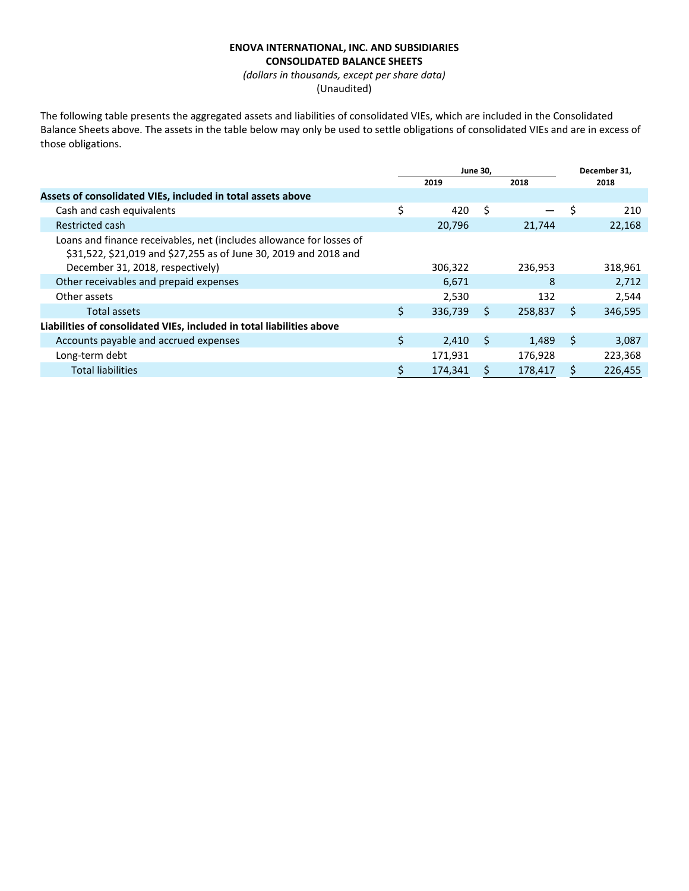#### **ENOVA INTERNATIONAL, INC. AND SUBSIDIARIES CONSOLIDATED BALANCE SHEETS**

*(dollars in thousands, except per share data)*  (Unaudited)

The following table presents the aggregated assets and liabilities of consolidated VIEs, which are included in the Consolidated Balance Sheets above. The assets in the table below may only be used to settle obligations of consolidated VIEs and are in excess of those obligations.

|    | December 31,                                                       |  |
|----|--------------------------------------------------------------------|--|
|    | 2018                                                               |  |
|    |                                                                    |  |
| S  | 210                                                                |  |
|    | 22,168                                                             |  |
|    |                                                                    |  |
|    | 318,961                                                            |  |
| 8  | 2.712                                                              |  |
|    | 2,544                                                              |  |
| Ś. | 346,595                                                            |  |
|    |                                                                    |  |
| S. | 3,087                                                              |  |
|    | 223,368                                                            |  |
| Ś  | 226,455                                                            |  |
|    | 21,744<br>236,953<br>132<br>258,837<br>1,489<br>176,928<br>178,417 |  |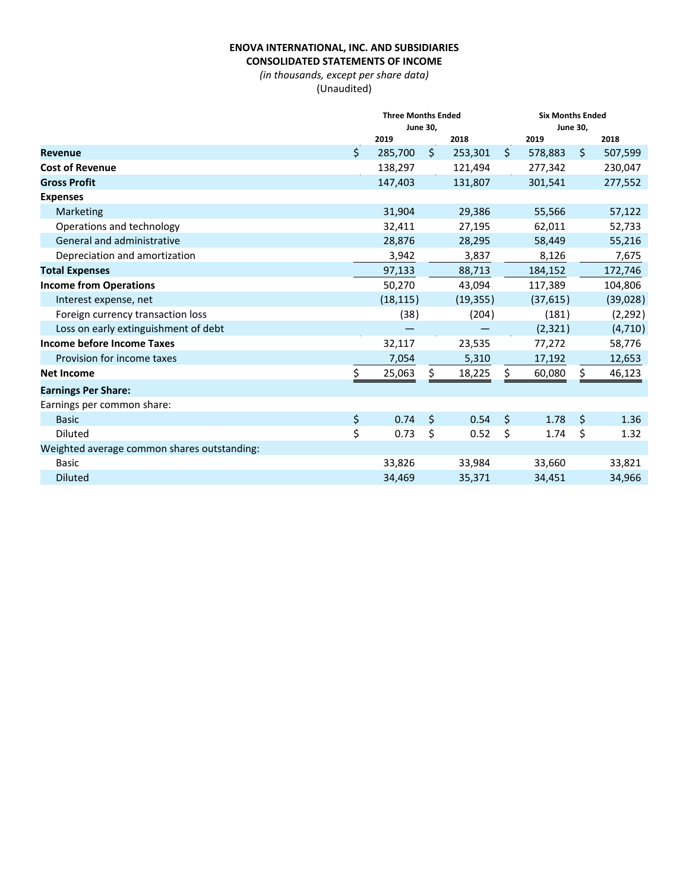### **ENOVA INTERNATIONAL, INC. AND SUBSIDIARIES CONSOLIDATED STATEMENTS OF INCOME**

*(in thousands, except per share data)*  (Unaudited)

|                                             |    | <b>Three Months Ended</b><br><b>June 30,</b> |         |           | <b>Six Months Ended</b> |           |              |           |
|---------------------------------------------|----|----------------------------------------------|---------|-----------|-------------------------|-----------|--------------|-----------|
|                                             |    |                                              |         |           | <b>June 30,</b>         |           |              |           |
|                                             |    | 2019                                         |         | 2018      |                         | 2019      |              | 2018      |
| <b>Revenue</b>                              | Ś. | 285,700                                      | Ŝ.      | 253,301   | $\ddot{\mathsf{S}}$     | 578,883   | $\zeta$      | 507,599   |
| <b>Cost of Revenue</b>                      |    | 138,297                                      |         | 121,494   |                         | 277,342   |              | 230,047   |
| <b>Gross Profit</b>                         |    | 147,403                                      |         | 131,807   |                         | 301,541   |              | 277,552   |
| <b>Expenses</b>                             |    |                                              |         |           |                         |           |              |           |
| Marketing                                   |    | 31,904                                       |         | 29,386    |                         | 55,566    |              | 57,122    |
| Operations and technology                   |    | 32,411                                       |         | 27,195    |                         | 62,011    |              | 52,733    |
| General and administrative                  |    | 28,876                                       |         | 28,295    |                         | 58,449    |              | 55,216    |
| Depreciation and amortization               |    | 3,942                                        |         | 3,837     |                         | 8,126     |              | 7,675     |
| <b>Total Expenses</b>                       |    | 97,133                                       |         | 88,713    |                         | 184,152   |              | 172,746   |
| <b>Income from Operations</b>               |    | 50,270                                       |         | 43,094    |                         | 117,389   |              | 104,806   |
| Interest expense, net                       |    | (18, 115)                                    |         | (19, 355) |                         | (37, 615) |              | (39, 028) |
| Foreign currency transaction loss           |    | (38)                                         |         | (204)     | (181)                   |           | (2, 292)     |           |
| Loss on early extinguishment of debt        |    |                                              |         |           |                         | (2, 321)  |              | (4, 710)  |
| <b>Income before Income Taxes</b>           |    | 32,117                                       |         | 23,535    |                         | 77,272    |              | 58,776    |
| Provision for income taxes                  |    | 7,054                                        |         | 5,310     |                         | 17,192    |              | 12,653    |
| <b>Net Income</b>                           | \$ | 25,063                                       | \$      | 18,225    | \$                      | 60,080    |              | 46,123    |
| <b>Earnings Per Share:</b>                  |    |                                              |         |           |                         |           |              |           |
| Earnings per common share:                  |    |                                              |         |           |                         |           |              |           |
| <b>Basic</b>                                | \$ | 0.74                                         | $\zeta$ | 0.54      | Ŝ.                      | 1.78      | $\mathsf{S}$ | 1.36      |
| <b>Diluted</b>                              | \$ | 0.73                                         | \$      | 0.52      | \$                      | 1.74      | \$           | 1.32      |
| Weighted average common shares outstanding: |    |                                              |         |           |                         |           |              |           |
| <b>Basic</b>                                |    | 33,826                                       |         | 33,984    |                         | 33,660    |              | 33,821    |
| <b>Diluted</b>                              |    | 34,469                                       |         | 35,371    |                         | 34,451    |              | 34,966    |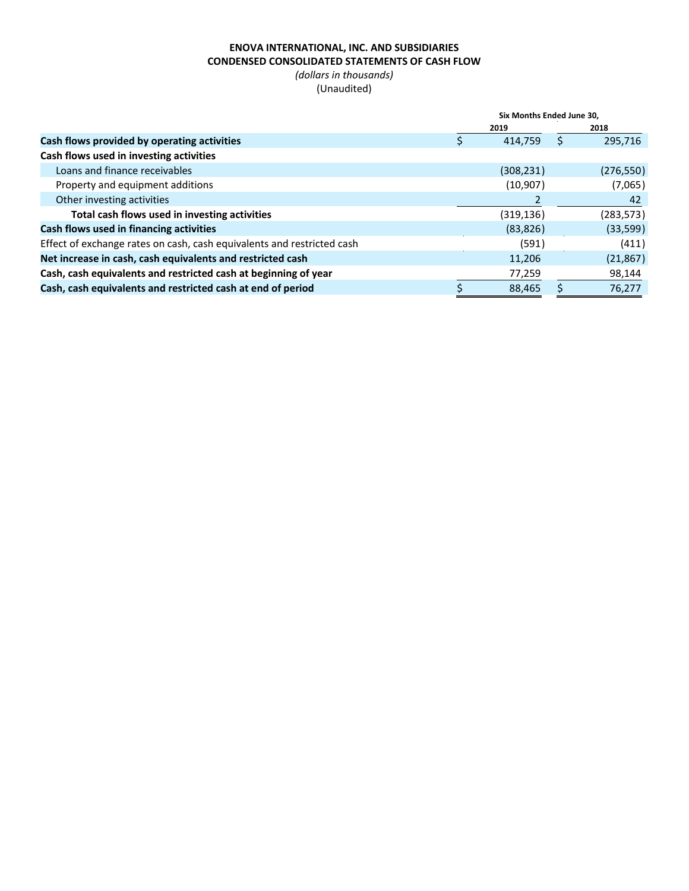# **ENOVA INTERNATIONAL, INC. AND SUBSIDIARIES CONDENSED CONSOLIDATED STATEMENTS OF CASH FLOW**

*(dollars in thousands)*  (Unaudited)

|                                                                        | Six Months Ended June 30. |  |           |  |  |
|------------------------------------------------------------------------|---------------------------|--|-----------|--|--|
|                                                                        | 2019                      |  | 2018      |  |  |
| Cash flows provided by operating activities                            | 414.759                   |  | 295,716   |  |  |
| Cash flows used in investing activities                                |                           |  |           |  |  |
| Loans and finance receivables                                          | (308, 231)                |  | (276,550) |  |  |
| Property and equipment additions                                       | (10, 907)                 |  | (7,065)   |  |  |
| Other investing activities                                             |                           |  | 42        |  |  |
| Total cash flows used in investing activities                          | (319, 136)                |  | (283,573) |  |  |
| Cash flows used in financing activities                                | (83, 826)                 |  | (33, 599) |  |  |
| Effect of exchange rates on cash, cash equivalents and restricted cash | (591)                     |  | (411)     |  |  |
| Net increase in cash, cash equivalents and restricted cash             | 11,206                    |  | (21, 867) |  |  |
| Cash, cash equivalents and restricted cash at beginning of year        | 77,259                    |  | 98,144    |  |  |
| Cash, cash equivalents and restricted cash at end of period            | 88.465                    |  | 76.277    |  |  |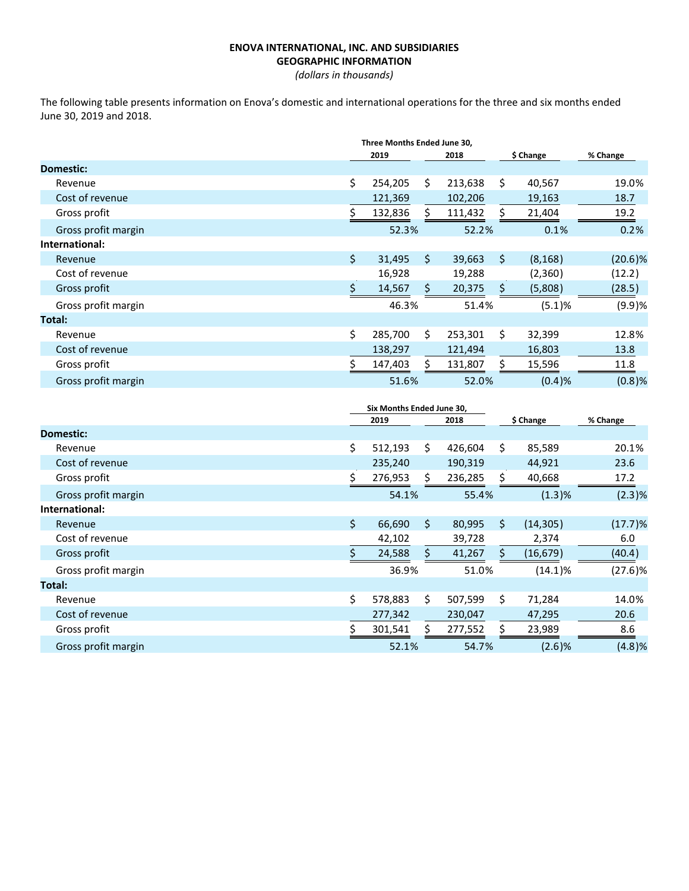#### **ENOVA INTERNATIONAL, INC. AND SUBSIDIARIES GEOGRAPHIC INFORMATION**

*(dollars in thousands)* 

The following table presents information on Enova's domestic and international operations for the three and six months ended June 30, 2019 and 2018.

|                     | Three Months Ended June 30, |         |         |         |    |           |           |
|---------------------|-----------------------------|---------|---------|---------|----|-----------|-----------|
|                     |                             | 2019    |         | 2018    |    | \$ Change | % Change  |
| Domestic:           |                             |         |         |         |    |           |           |
| Revenue             | \$                          | 254,205 | \$      | 213,638 | \$ | 40,567    | 19.0%     |
| Cost of revenue     |                             | 121,369 |         | 102,206 |    | 19,163    | 18.7      |
| Gross profit        | \$                          | 132,836 | S.      | 111,432 | S  | 21,404    | 19.2      |
| Gross profit margin |                             | 52.3%   |         | 52.2%   |    | 0.1%      | 0.2%      |
| International:      |                             |         |         |         |    |           |           |
| Revenue             | \$                          | 31,495  | Ŝ.      | 39,663  | Ŝ. | (8, 168)  | (20.6)%   |
| Cost of revenue     |                             | 16,928  |         | 19,288  |    | (2,360)   | (12.2)    |
| Gross profit        | \$                          | 14,567  | $\zeta$ | 20,375  |    | (5,808)   | (28.5)    |
| Gross profit margin |                             | 46.3%   |         | 51.4%   |    | (5.1)%    | (9.9)%    |
| Total:              |                             |         |         |         |    |           |           |
| Revenue             | \$                          | 285,700 | Ś.      | 253,301 | Ś. | 32,399    | 12.8%     |
| Cost of revenue     |                             | 138,297 |         | 121,494 |    | 16,803    | 13.8      |
| Gross profit        | \$                          | 147,403 | Ś       | 131,807 | S  | 15,596    | 11.8      |
| Gross profit margin |                             | 51.6%   |         | 52.0%   |    | (0.4)%    | $(0.8)$ % |

|                     | Six Months Ended June 30, |    |         |    |            |          |
|---------------------|---------------------------|----|---------|----|------------|----------|
|                     | 2019                      |    | 2018    |    | \$ Change  | % Change |
| Domestic:           |                           |    |         |    |            |          |
| Revenue             | \$<br>512,193             | \$ | 426,604 | Ś. | 85,589     | 20.1%    |
| Cost of revenue     | 235,240                   |    | 190,319 |    | 44,921     | 23.6     |
| Gross profit        | \$<br>276,953             | S  | 236,285 |    | 40,668     | 17.2     |
| Gross profit margin | 54.1%                     |    | 55.4%   |    | (1.3)%     | (2.3)%   |
| International:      |                           |    |         |    |            |          |
| Revenue             | \$<br>66,690              | \$ | 80,995  | Ŝ. | (14, 305)  | (17.7)%  |
| Cost of revenue     | 42,102                    |    | 39,728  |    | 2,374      | 6.0      |
| Gross profit        | \$<br>24,588              | ς. | 41,267  | S  | (16, 679)  | (40.4)   |
| Gross profit margin | 36.9%                     |    | 51.0%   |    | $(14.1)\%$ | (27.6)%  |
| Total:              |                           |    |         |    |            |          |
| Revenue             | \$<br>578,883             | \$ | 507,599 | \$ | 71,284     | 14.0%    |
| Cost of revenue     | 277,342                   |    | 230,047 |    | 47,295     | 20.6     |
| Gross profit        | \$<br>301,541             |    | 277,552 |    | 23,989     | 8.6      |
| Gross profit margin | 52.1%                     |    | 54.7%   |    | (2.6)%     | (4.8)%   |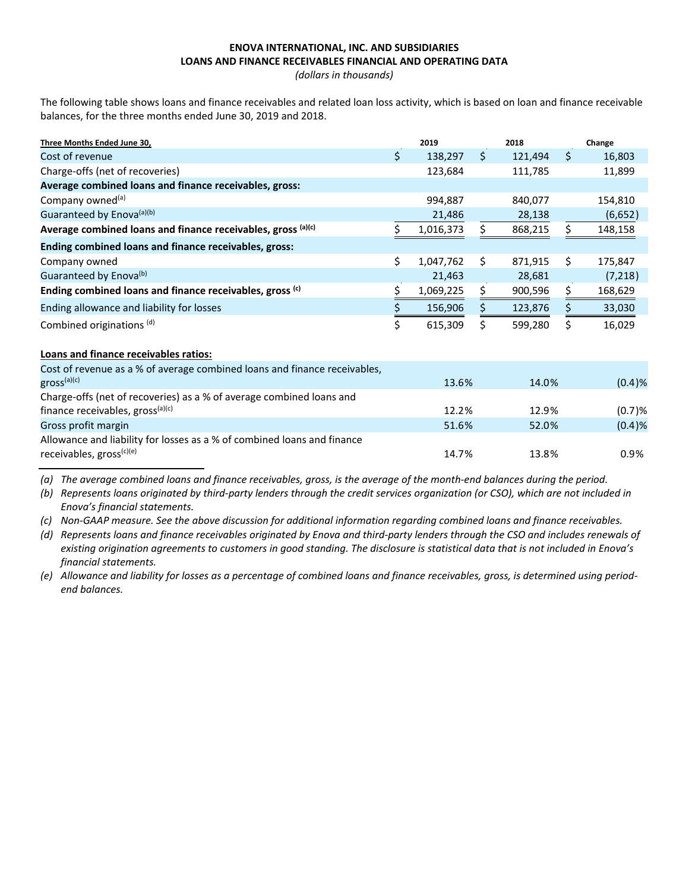## **ENOVA INTERNATIONAL, INC. AND SUBSIDIARIES LOANS AND FINANCE RECEIVABLES FINANCIAL AND OPERATING DATA**

*(dollars in thousands)* 

The following table shows loans and finance receivables and related loan loss activity, which is based on loan and finance receivable balances, for the three months ended June 30, 2019 and 2018.

| Three Months Ended June 30,                                  | 2019            |    | 2018    |    | Change  |
|--------------------------------------------------------------|-----------------|----|---------|----|---------|
| Cost of revenue                                              | \$<br>138,297   | Ś. | 121.494 | Ŝ. | 16,803  |
| Charge-offs (net of recoveries)                              | 123,684         |    | 111,785 |    | 11,899  |
| Average combined loans and finance receivables, gross:       |                 |    |         |    |         |
| Company owned <sup>(a)</sup>                                 | 994,887         |    | 840,077 |    | 154,810 |
| Guaranteed by Enova <sup>(a)(b)</sup>                        | 21,486          |    | 28,138  |    | (6,652) |
| Average combined loans and finance receivables, gross (a)(c) | 1,016,373       | \$ | 868,215 | Ś. | 148,158 |
| Ending combined loans and finance receivables, gross:        |                 |    |         |    |         |
| Company owned                                                | \$<br>1,047,762 | Ś  | 871,915 | Ś. | 175,847 |
| Guaranteed by Enova <sup>(b)</sup>                           | 21,463          |    | 28,681  |    | (7,218) |
| Ending combined loans and finance receivables, gross (c)     | 1,069,225       |    | 900,596 |    | 168,629 |
| Ending allowance and liability for losses                    | 156,906         |    | 123,876 |    | 33,030  |
| Combined originations (d)                                    | \$<br>615,309   | Ś  | 599,280 |    | 16,029  |
| Loans and finance receivables ratios:                        |                 |    |         |    |         |

| Cost of revenue as a % of average combined loans and finance receivables, |       |       |        |
|---------------------------------------------------------------------------|-------|-------|--------|
| $\mathsf{gross}^{(a)(c)}$                                                 | 13.6% | 14.0% | (0.4)% |
| Charge-offs (net of recoveries) as a % of average combined loans and      |       |       |        |
| finance receivables, gross <sup>(a)(c)</sup>                              | 12.2% | 12.9% | (0.7)% |
| Gross profit margin                                                       | 51.6% | 52.0% | (0.4)% |
| Allowance and liability for losses as a % of combined loans and finance   |       |       |        |
| receivables, gross <sup>(c)(e)</sup>                                      | 14.7% | 13.8% | 0.9%   |

*(a) The average combined loans and finance receivables, gross, is the average of the month-end balances during the period.* 

*(b) Represents loans originated by third-party lenders through the credit services organization (or CSO), which are not included in Enova's financial statements.* 

*(c) Non-GAAP measure. See the above discussion for additional information regarding combined loans and finance receivables.*

*(d) Represents loans and finance receivables originated by Enova and third-party lenders through the CSO and includes renewals of existing origination agreements to customers in good standing. The disclosure is statistical data that is not included in Enova's financial statements.*

*(e) Allowance and liability for losses as a percentage of combined loans and finance receivables, gross, is determined using periodend balances.*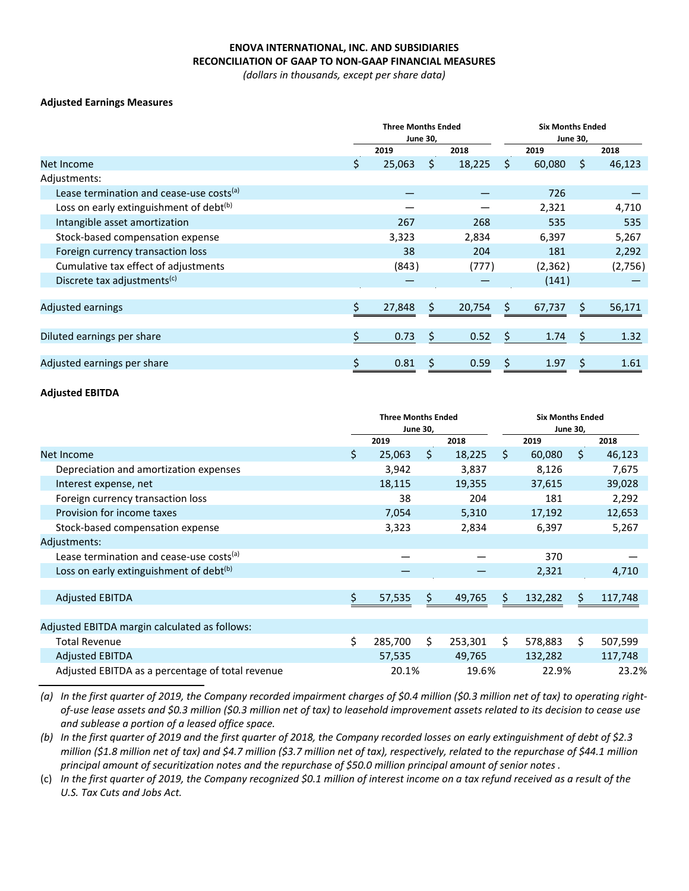### **ENOVA INTERNATIONAL, INC. AND SUBSIDIARIES RECONCILIATION OF GAAP TO NON-GAAP FINANCIAL MEASURES**

*(dollars in thousands, except per share data)*

#### **Adjusted Earnings Measures**

|                                                      | <b>Three Months Ended</b><br><b>June 30,</b> |        |    | <b>Six Months Ended</b> |         |          |         |         |
|------------------------------------------------------|----------------------------------------------|--------|----|-------------------------|---------|----------|---------|---------|
|                                                      |                                              |        |    | <b>June 30,</b>         |         |          |         |         |
|                                                      |                                              | 2019   |    | 2018                    |         | 2019     |         | 2018    |
| Net Income                                           | \$                                           | 25,063 | Ŝ. | 18,225                  | Ŝ.      | 60,080   | S       | 46,123  |
| Adjustments:                                         |                                              |        |    |                         |         |          |         |         |
| Lease termination and cease-use costs <sup>(a)</sup> |                                              |        |    |                         |         | 726      |         |         |
| Loss on early extinguishment of debt <sup>(b)</sup>  |                                              |        |    |                         |         | 2,321    |         | 4,710   |
| Intangible asset amortization                        |                                              | 267    |    | 268                     |         | 535      |         | 535     |
| Stock-based compensation expense                     |                                              | 3,323  |    | 2,834                   |         | 6,397    |         | 5,267   |
| Foreign currency transaction loss                    |                                              | 38     |    | 204                     |         | 181      |         | 2,292   |
| Cumulative tax effect of adjustments                 |                                              | (843)  |    | (777)                   |         | (2, 362) |         | (2,756) |
| Discrete tax adjustments <sup>(c)</sup>              |                                              |        |    |                         |         | (141)    |         |         |
|                                                      |                                              |        |    |                         |         |          |         |         |
| <b>Adjusted earnings</b>                             |                                              | 27,848 | \$ | 20,754                  | Ś       | 67,737   | S       | 56,171  |
|                                                      |                                              |        |    |                         |         |          |         |         |
| Diluted earnings per share                           | \$                                           | 0.73   | \$ | 0.52                    | $\zeta$ | 1.74     | $\zeta$ | 1.32    |
|                                                      |                                              |        |    |                         |         |          |         |         |
| Adjusted earnings per share                          | \$                                           | 0.81   | \$ | 0.59                    | \$      | 1.97     |         | 1.61    |

#### **Adjusted EBITDA**

|                                                      | <b>Three Months Ended</b><br><b>June 30,</b> |         |     |         | <b>Six Months Ended</b><br><b>June 30,</b> |         |     |         |
|------------------------------------------------------|----------------------------------------------|---------|-----|---------|--------------------------------------------|---------|-----|---------|
|                                                      |                                              | 2019    |     | 2018    |                                            | 2019    |     | 2018    |
| Net Income                                           | \$                                           | 25,063  | \$  | 18,225  | Ŝ.                                         | 60,080  | Ŝ.  | 46,123  |
| Depreciation and amortization expenses               |                                              | 3,942   |     | 3,837   |                                            | 8,126   |     | 7,675   |
| Interest expense, net                                |                                              | 18,115  |     | 19,355  |                                            | 37,615  |     | 39,028  |
| Foreign currency transaction loss                    |                                              | 38      |     | 204     |                                            | 181     |     | 2,292   |
| Provision for income taxes                           |                                              | 7,054   |     | 5,310   |                                            | 17,192  |     | 12,653  |
| Stock-based compensation expense                     |                                              | 3,323   |     | 2,834   |                                            | 6,397   |     | 5,267   |
| Adjustments:                                         |                                              |         |     |         |                                            |         |     |         |
| Lease termination and cease-use costs <sup>(a)</sup> |                                              |         |     |         |                                            | 370     |     |         |
| Loss on early extinguishment of debt <sup>(b)</sup>  |                                              |         |     |         |                                            | 2,321   |     | 4,710   |
|                                                      |                                              |         |     |         |                                            |         |     |         |
| <b>Adjusted EBITDA</b>                               | \$                                           | 57,535  | \$. | 49,765  | S.                                         | 132,282 | \$. | 117,748 |
|                                                      |                                              |         |     |         |                                            |         |     |         |
| Adjusted EBITDA margin calculated as follows:        |                                              |         |     |         |                                            |         |     |         |
| <b>Total Revenue</b>                                 | \$                                           | 285,700 | Ŝ.  | 253,301 | Ŝ.                                         | 578,883 | Ś.  | 507,599 |
| <b>Adjusted EBITDA</b>                               |                                              | 57,535  |     | 49,765  |                                            | 132,282 |     | 117,748 |
| Adjusted EBITDA as a percentage of total revenue     |                                              | 20.1%   |     | 19.6%   |                                            | 22.9%   |     | 23.2%   |

*(a) In the first quarter of 2019, the Company recorded impairment charges of \$0.4 million (\$0.3 million net of tax) to operating rightof-use lease assets and \$0.3 million (\$0.3 million net of tax) to leasehold improvement assets related to its decision to cease use and sublease a portion of a leased office space.*

*(b) In the first quarter of 2019 and the first quarter of 2018, the Company recorded losses on early extinguishment of debt of \$2.3 million (\$1.8 million net of tax) and \$4.7 million (\$3.7 million net of tax), respectively, related to the repurchase of \$44.1 million principal amount of securitization notes and the repurchase of \$50.0 million principal amount of senior notes .*

(c) *In the first quarter of 2019, the Company recognized \$0.1 million of interest income on a tax refund received as a result of the U.S. Tax Cuts and Jobs Act.*